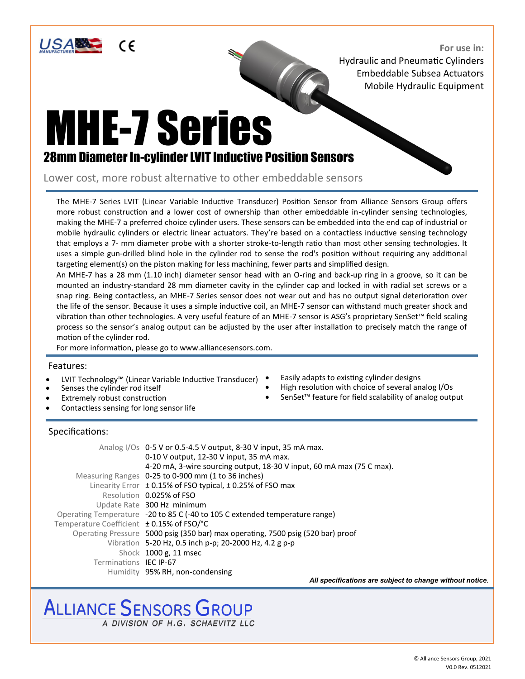

**For use in:** Hydraulic and Pneumatic Cylinders Embeddable Subsea Actuators Mobile Hydraulic Equipment

## MHE-7 Series 28mm Diameter In-cylinder LVIT Inductive Position Sensors

Lower cost, more robust alternative to other embeddable sensors

The MHE-7 Series LVIT (Linear Variable Inductive Transducer) Position Sensor from Alliance Sensors Group offers more robust construction and a lower cost of ownership than other embeddable in-cylinder sensing technologies, making the MHE-7 a preferred choice cylinder users. These sensors can be embedded into the end cap of industrial or mobile hydraulic cylinders or electric linear actuators. They're based on a contactless inductive sensing technology that employs a 7- mm diameter probe with a shorter stroke-to-length ratio than most other sensing technologies. It uses a simple gun-drilled blind hole in the cylinder rod to sense the rod's position without requiring any additional targeting element(s) on the piston making for less machining, fewer parts and simplified design.

An MHE-7 has a 28 mm (1.10 inch) diameter sensor head with an O-ring and back-up ring in a groove, so it can be mounted an industry-standard 28 mm diameter cavity in the cylinder cap and locked in with radial set screws or a snap ring. Being contactless, an MHE-7 Series sensor does not wear out and has no output signal deterioration over the life of the sensor. Because it uses a simple inductive coil, an MHE-7 sensor can withstand much greater shock and vibration than other technologies. A very useful feature of an MHE-7 sensor is ASG's proprietary SenSet™ field scaling process so the sensor's analog output can be adjusted by the user after installation to precisely match the range of motion of the cylinder rod.

For more information, please go to www.alliancesensors.com.

#### Features:

- LVIT Technology™ (Linear Variable Inductive Transducer)
- Senses the cylinder rod itself
- Extremely robust construction
- Contactless sensing for long sensor life
- Easily adapts to existing cylinder designs
- High resolution with choice of several analog I/Os
- SenSet<sup>™</sup> feature for field scalability of analog output

### Specifications:

|                                               | Analog I/Os 0-5 V or 0.5-4.5 V output, 8-30 V input, 35 mA max.<br>0-10 V output, 12-30 V input, 35 mA max. |
|-----------------------------------------------|-------------------------------------------------------------------------------------------------------------|
|                                               | 4-20 mA, 3-wire sourcing output, 18-30 V input, 60 mA max (75 C max).                                       |
|                                               | Measuring Ranges 0-25 to 0-900 mm (1 to 36 inches)                                                          |
|                                               | Linearity Error ± 0.15% of FSO typical, ± 0.25% of FSO max                                                  |
|                                               | Resolution 0.025% of ESO                                                                                    |
|                                               | Update Rate 300 Hz minimum                                                                                  |
|                                               | Operating Temperature -20 to 85 C (-40 to 105 C extended temperature range)                                 |
| Temperature Coefficient $\pm$ 0.15% of FSO/°C |                                                                                                             |
|                                               | Operating Pressure 5000 psig (350 bar) max operating, 7500 psig (520 bar) proof                             |
|                                               | Vibration 5-20 Hz, 0.5 inch p-p; 20-2000 Hz, 4.2 g p-p                                                      |
|                                               | Shock 1000 g, 11 msec                                                                                       |
| Terminations <b>IEC IP-67</b>                 |                                                                                                             |
|                                               | Humidity 95% RH, non-condensing                                                                             |

*All specifications are subject to change without notice*.

## ALLIANCE **SENSORS** GROUP